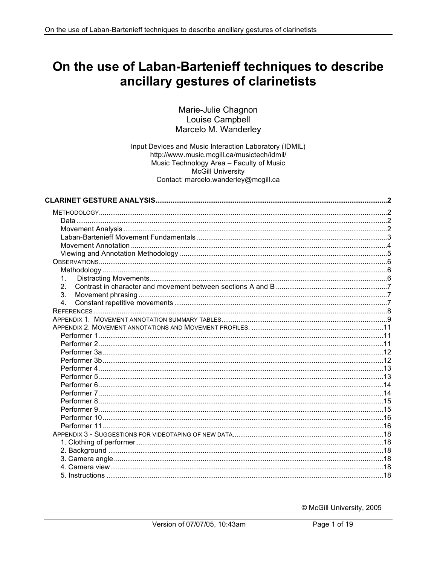# On the use of Laban-Bartenieff techniques to describe ancillary gestures of clarinetists

#### Marie-Julie Chagnon Louise Campbell Marcelo M. Wanderley

Input Devices and Music Interaction Laboratory (IDMIL) http://www.music.mcgill.ca/musictech/idmil/ Music Technology Area - Faculty of Music **McGill University** Contact: marcelo.wanderley@mcgill.ca

| $\mathbf{1}$ . |  |
|----------------|--|
| 2.             |  |
| 3.             |  |
| 4.             |  |
|                |  |
|                |  |
|                |  |
|                |  |
|                |  |
|                |  |
|                |  |
|                |  |
|                |  |
|                |  |
|                |  |
|                |  |
|                |  |
|                |  |
|                |  |
|                |  |
|                |  |
|                |  |
|                |  |
|                |  |
|                |  |

© McGill University, 2005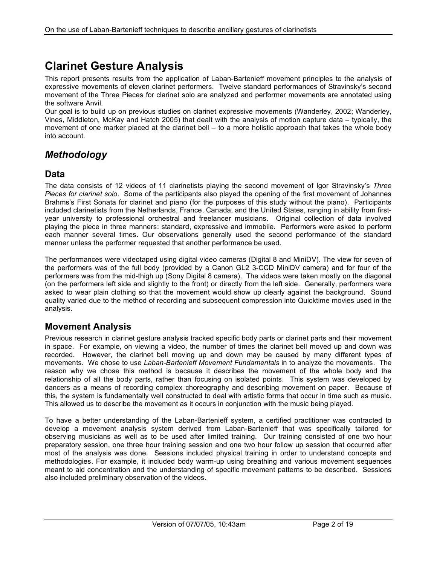# **Clarinet Gesture Analysis**

This report presents results from the application of Laban-Bartenieff movement principles to the analysis of expressive movements of eleven clarinet performers. Twelve standard performances of Stravinsky's second movement of the Three Pieces for clarinet solo are analyzed and performer movements are annotated using the software Anvil.

Our goal is to build up on previous studies on clarinet expressive movements (Wanderley, 2002; Wanderley, Vines, Middleton, McKay and Hatch 2005) that dealt with the analysis of motion capture data – typically, the movement of one marker placed at the clarinet bell – to a more holistic approach that takes the whole body into account.

# *Methodology*

#### **Data**

The data consists of 12 videos of 11 clarinetists playing the second movement of Igor Stravinsky's *Three Pieces for clarinet solo*. Some of the participants also played the opening of the first movement of Johannes Brahms's First Sonata for clarinet and piano (for the purposes of this study without the piano). Participants included clarinetists from the Netherlands, France, Canada, and the United States, ranging in ability from firstyear university to professional orchestral and freelancer musicians. Original collection of data involved playing the piece in three manners: standard, expressive and immobile. Performers were asked to perform each manner several times. Our observations generally used the second performance of the standard manner unless the performer requested that another performance be used.

The performances were videotaped using digital video cameras (Digital 8 and MiniDV). The view for seven of the performers was of the full body (provided by a Canon GL2 3-CCD MiniDV camera) and for four of the performers was from the mid-thigh up (Sony Digital 8 camera). The videos were taken mostly on the diagonal (on the performers left side and slightly to the front) or directly from the left side. Generally, performers were asked to wear plain clothing so that the movement would show up clearly against the background. Sound quality varied due to the method of recording and subsequent compression into Quicktime movies used in the analysis.

### **Movement Analysis**

Previous research in clarinet gesture analysis tracked specific body parts or clarinet parts and their movement in space. For example, on viewing a video, the number of times the clarinet bell moved up and down was recorded. However, the clarinet bell moving up and down may be caused by many different types of movements. We chose to use *Laban-Bartenieff Movement Fundamentals* in to analyze the movements. The reason why we chose this method is because it describes the movement of the whole body and the relationship of all the body parts, rather than focusing on isolated points. This system was developed by dancers as a means of recording complex choreography and describing movement on paper. Because of this, the system is fundamentally well constructed to deal with artistic forms that occur in time such as music. This allowed us to describe the movement as it occurs in conjunction with the music being played.

To have a better understanding of the Laban-Bartenieff system, a certified practitioner was contracted to develop a movement analysis system derived from Laban-Bartenieff that was specifically tailored for observing musicians as well as to be used after limited training. Our training consisted of one two hour preparatory session, one three hour training session and one two hour follow up session that occurred after most of the analysis was done. Sessions included physical training in order to understand concepts and methodologies. For example, it included body warm-up using breathing and various movement sequences meant to aid concentration and the understanding of specific movement patterns to be described. Sessions also included preliminary observation of the videos.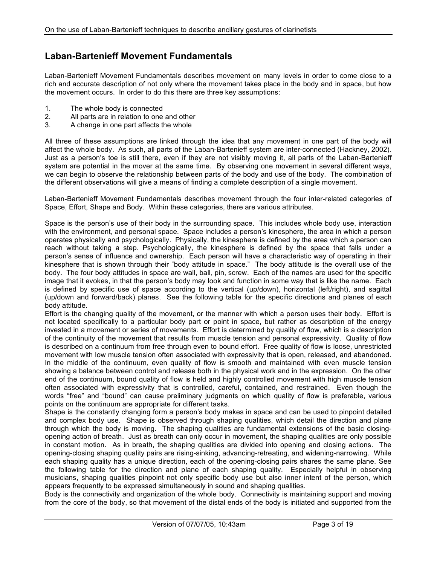# **Laban-Bartenieff Movement Fundamentals**

Laban-Bartenieff Movement Fundamentals describes movement on many levels in order to come close to a rich and accurate description of not only where the movement takes place in the body and in space, but how the movement occurs. In order to do this there are three key assumptions:

- 1. The whole body is connected
- 2. All parts are in relation to one and other
- 3. A change in one part affects the whole

All three of these assumptions are linked through the idea that any movement in one part of the body will affect the whole body. As such, all parts of the Laban-Bartenieff system are inter-connected (Hackney, 2002). Just as a person's toe is still there, even if they are not visibly moving it, all parts of the Laban-Bartenieff system are potential in the mover at the same time. By observing one movement in several different ways, we can begin to observe the relationship between parts of the body and use of the body. The combination of the different observations will give a means of finding a complete description of a single movement.

Laban-Bartenieff Movement Fundamentals describes movement through the four inter-related categories of Space, Effort, Shape and Body. Within these categories, there are various attributes.

Space is the person's use of their body in the surrounding space. This includes whole body use, interaction with the environment, and personal space. Space includes a person's kinesphere, the area in which a person operates physically and psychologically. Physically, the kinesphere is defined by the area which a person can reach without taking a step. Psychologically, the kinesphere is defined by the space that falls under a person's sense of influence and ownership. Each person will have a characteristic way of operating in their kinesphere that is shown through their "body attitude in space." The body attitude is the overall use of the body. The four body attitudes in space are wall, ball, pin, screw. Each of the names are used for the specific image that it evokes, in that the person's body may look and function in some way that is like the name. Each is defined by specific use of space according to the vertical (up/down), horizontal (left/right), and sagittal (up/down and forward/back) planes. See the following table for the specific directions and planes of each body attitude.

Effort is the changing quality of the movement, or the manner with which a person uses their body. Effort is not located specifically to a particular body part or point in space, but rather as description of the energy invested in a movement or series of movements. Effort is determined by quality of flow, which is a description of the continuity of the movement that results from muscle tension and personal expressivity. Quality of flow is described on a continuum from free through even to bound effort. Free quality of flow is loose, unrestricted movement with low muscle tension often associated with expressivity that is open, released, and abandoned. In the middle of the continuum, even quality of flow is smooth and maintained with even muscle tension showing a balance between control and release both in the physical work and in the expression. On the other end of the continuum, bound quality of flow is held and highly controlled movement with high muscle tension often associated with expressivity that is controlled, careful, contained, and restrained. Even though the words "free" and "bound" can cause preliminary judgments on which quality of flow is preferable, various points on the continuum are appropriate for different tasks.

Shape is the constantly changing form a person's body makes in space and can be used to pinpoint detailed and complex body use. Shape is observed through shaping qualities, which detail the direction and plane through which the body is moving. The shaping qualities are fundamental extensions of the basic closingopening action of breath. Just as breath can only occur in movement, the shaping qualities are only possible in constant motion. As in breath, the shaping qualities are divided into opening and closing actions. The opening-closing shaping quality pairs are rising-sinking, advancing-retreating, and widening-narrowing. While each shaping quality has a unique direction, each of the opening-closing pairs shares the same plane. See the following table for the direction and plane of each shaping quality. Especially helpful in observing musicians, shaping qualities pinpoint not only specific body use but also inner intent of the person, which appears frequently to be expressed simultaneously in sound and shaping qualities.

Body is the connectivity and organization of the whole body. Connectivity is maintaining support and moving from the core of the body, so that movement of the distal ends of the body is initiated and supported from the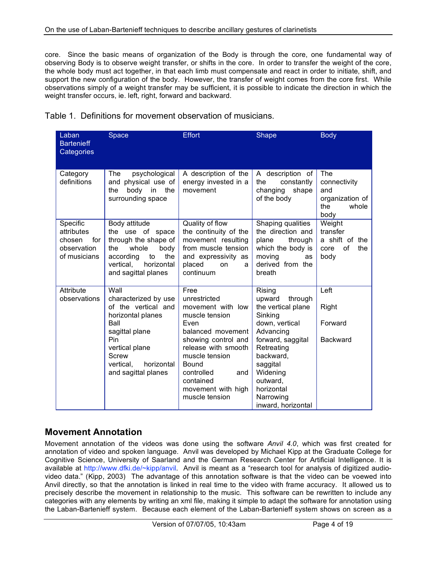core. Since the basic means of organization of the Body is through the core, one fundamental way of observing Body is to observe weight transfer, or shifts in the core. In order to transfer the weight of the core, the whole body must act together, in that each limb must compensate and react in order to initiate, shift, and support the new configuration of the body. However, the transfer of weight comes from the core first. While observations simply of a weight transfer may be sufficient, it is possible to indicate the direction in which the weight transfer occurs, ie. left, right, forward and backward.

| Laban<br><b>Bartenieff</b><br>Categories                               | Space                                                                                                                                                                                         | <b>Effort</b>                                                                                                                                                                                                                               | Shape                                                                                                                                                                                                                            | <b>Body</b>                                                           |
|------------------------------------------------------------------------|-----------------------------------------------------------------------------------------------------------------------------------------------------------------------------------------------|---------------------------------------------------------------------------------------------------------------------------------------------------------------------------------------------------------------------------------------------|----------------------------------------------------------------------------------------------------------------------------------------------------------------------------------------------------------------------------------|-----------------------------------------------------------------------|
| Category<br>definitions                                                | psychological<br><b>The</b><br>and physical use of<br>body<br>the<br>the<br>in<br>surrounding space                                                                                           | A description of the<br>energy invested in a<br>movement                                                                                                                                                                                    | A description of<br>constantly<br>the<br>changing<br>shape<br>of the body                                                                                                                                                        | The<br>connectivity<br>and<br>organization of<br>the<br>whole<br>body |
| Specific<br>attributes<br>chosen<br>for<br>observation<br>of musicians | Body attitude<br>the use of space<br>through the shape of<br>whole<br>the<br>body<br>the<br>according<br>to<br>vertical,<br>horizontal<br>and sagittal planes                                 | Quality of flow<br>the continuity of the<br>movement resulting<br>from muscle tension<br>and expressivity as<br>placed<br>on<br>a<br>continuum                                                                                              | Shaping qualities<br>the direction and<br>plane<br>through<br>which the body is<br>moving<br>as<br>derived from the<br>breath                                                                                                    | Weight<br>transfer<br>a shift of the<br>of<br>the<br>core<br>body     |
| Attribute<br>observations                                              | Wall<br>characterized by use<br>of the vertical and<br>horizontal planes<br>Ball<br>sagittal plane<br>Pin<br>vertical plane<br><b>Screw</b><br>vertical.<br>horizontal<br>and sagittal planes | Free<br>unrestricted<br>movement with low<br>muscle tension<br>Even<br>balanced movement<br>showing control and<br>release with smooth<br>muscle tension<br>Bound<br>controlled<br>and<br>contained<br>movement with high<br>muscle tension | Rising<br>upward<br>through<br>the vertical plane<br>Sinking<br>down, vertical<br>Advancing<br>forward, saggital<br>Retreating<br>backward,<br>saggital<br>Widening<br>outward,<br>horizontal<br>Narrowing<br>inward, horizontal | Left<br>Right<br>Forward<br><b>Backward</b>                           |

| Table 1. Definitions for movement observation of musicians. |  |  |  |  |  |  |  |  |
|-------------------------------------------------------------|--|--|--|--|--|--|--|--|
|-------------------------------------------------------------|--|--|--|--|--|--|--|--|

### **Movement Annotation**

Movement annotation of the videos was done using the software *Anvil 4.0*, which was first created for annotation of video and spoken language. Anvil was developed by Michael Kipp at the Graduate College for Cognitive Science, University of Saarland and the German Research Center for Artificial Intelligence. It is available at http://www.dfki.de/~kipp/anvil. Anvil is meant as a "research tool for analysis of digitized audiovideo data." (Kipp, 2003) The advantage of this annotation software is that the video can be voewed into Anvil directly, so that the annotation is linked in real time to the video with frame accuracy. It allowed us to precisely describe the movement in relationship to the music. This software can be rewritten to include any categories with any elements by writing an xml file, making it simple to adapt the software for annotation using the Laban-Bartenieff system. Because each element of the Laban-Bartenieff system shows on screen as a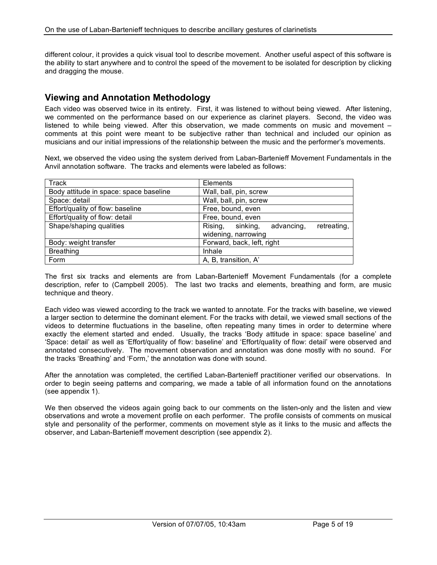different colour, it provides a quick visual tool to describe movement. Another useful aspect of this software is the ability to start anywhere and to control the speed of the movement to be isolated for description by clicking and dragging the mouse.

## **Viewing and Annotation Methodology**

Each video was observed twice in its entirety. First, it was listened to without being viewed. After listening, we commented on the performance based on our experience as clarinet players. Second, the video was listened to while being viewed. After this observation, we made comments on music and movement – comments at this point were meant to be subjective rather than technical and included our opinion as musicians and our initial impressions of the relationship between the music and the performer's movements.

Next, we observed the video using the system derived from Laban-Bartenieff Movement Fundamentals in the Anvil annotation software. The tracks and elements were labeled as follows:

| Track                                  | Elements                                         |
|----------------------------------------|--------------------------------------------------|
| Body attitude in space: space baseline | Wall, ball, pin, screw                           |
| Space: detail                          | Wall, ball, pin, screw                           |
| Effort/quality of flow: baseline       | Free, bound, even                                |
| Effort/quality of flow: detail         | Free, bound, even                                |
| Shape/shaping qualities                | sinking,<br>retreating,<br>advancing,<br>Rising, |
|                                        | widening, narrowing                              |
| Body: weight transfer                  | Forward, back, left, right                       |
| <b>Breathing</b>                       | Inhale                                           |
| Form                                   | A, B, transition, A'                             |

The first six tracks and elements are from Laban-Bartenieff Movement Fundamentals (for a complete description, refer to (Campbell 2005). The last two tracks and elements, breathing and form, are music technique and theory.

Each video was viewed according to the track we wanted to annotate. For the tracks with baseline, we viewed a larger section to determine the dominant element. For the tracks with detail, we viewed small sections of the videos to determine fluctuations in the baseline, often repeating many times in order to determine where exactly the element started and ended. Usually, the tracks 'Body attitude in space: space baseline' and 'Space: detail' as well as 'Effort/quality of flow: baseline' and 'Effort/quality of flow: detail' were observed and annotated consecutively. The movement observation and annotation was done mostly with no sound. For the tracks 'Breathing' and 'Form,' the annotation was done with sound.

After the annotation was completed, the certified Laban-Bartenieff practitioner verified our observations. In order to begin seeing patterns and comparing, we made a table of all information found on the annotations (see appendix 1).

We then observed the videos again going back to our comments on the listen-only and the listen and view observations and wrote a movement profile on each performer. The profile consists of comments on musical style and personality of the performer, comments on movement style as it links to the music and affects the observer, and Laban-Bartenieff movement description (see appendix 2).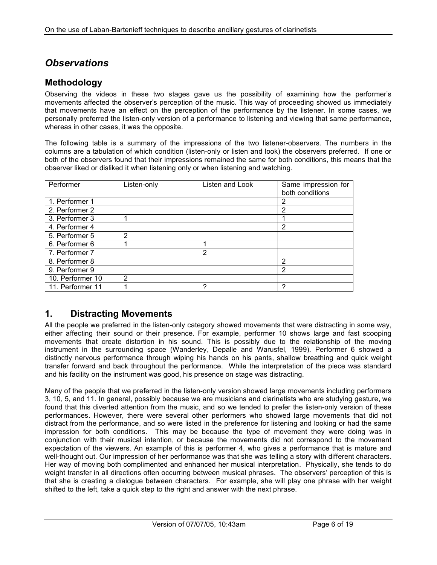# *Observations*

#### **Methodology**

Observing the videos in these two stages gave us the possibility of examining how the performer's movements affected the observer's perception of the music. This way of proceeding showed us immediately that movements have an effect on the perception of the performance by the listener. In some cases, we personally preferred the listen-only version of a performance to listening and viewing that same performance, whereas in other cases, it was the opposite.

The following table is a summary of the impressions of the two listener-observers. The numbers in the columns are a tabulation of which condition (listen-only or listen and look) the observers preferred. If one or both of the observers found that their impressions remained the same for both conditions, this means that the observer liked or disliked it when listening only or when listening and watching.

| Performer        | Listen-only    | Listen and Look | Same impression for<br>both conditions |
|------------------|----------------|-----------------|----------------------------------------|
| 1. Performer 1   |                |                 | 2                                      |
| 2. Performer 2   |                |                 | $\overline{2}$                         |
| 3. Performer 3   |                |                 |                                        |
| 4. Performer 4   |                |                 | 2                                      |
| 5. Performer 5   | 2              |                 |                                        |
| 6. Performer 6   |                |                 |                                        |
| 7. Performer 7   |                | 2               |                                        |
| 8. Performer 8   |                |                 | $\mathfrak{p}$                         |
| 9. Performer 9   |                |                 | 2                                      |
| 10. Performer 10 | $\overline{2}$ |                 |                                        |
| 11. Performer 11 |                | ົ               |                                        |

#### **1. Distracting Movements**

All the people we preferred in the listen-only category showed movements that were distracting in some way, either affecting their sound or their presence. For example, performer 10 shows large and fast scooping movements that create distortion in his sound. This is possibly due to the relationship of the moving instrument in the surrounding space (Wanderley, Depalle and Warusfel, 1999). Performer 6 showed a distinctly nervous performance through wiping his hands on his pants, shallow breathing and quick weight transfer forward and back throughout the performance. While the interpretation of the piece was standard and his facility on the instrument was good, his presence on stage was distracting.

Many of the people that we preferred in the listen-only version showed large movements including performers 3, 10, 5, and 11. In general, possibly because we are musicians and clarinetists who are studying gesture, we found that this diverted attention from the music, and so we tended to prefer the listen-only version of these performances. However, there were several other performers who showed large movements that did not distract from the performance, and so were listed in the preference for listening and looking or had the same impression for both conditions. This may be because the type of movement they were doing was in conjunction with their musical intention, or because the movements did not correspond to the movement expectation of the viewers. An example of this is performer 4, who gives a performance that is mature and well-thought out. Our impression of her performance was that she was telling a story with different characters. Her way of moving both complimented and enhanced her musical interpretation. Physically, she tends to do weight transfer in all directions often occurring between musical phrases. The observers' perception of this is that she is creating a dialogue between characters. For example, she will play one phrase with her weight shifted to the left, take a quick step to the right and answer with the next phrase.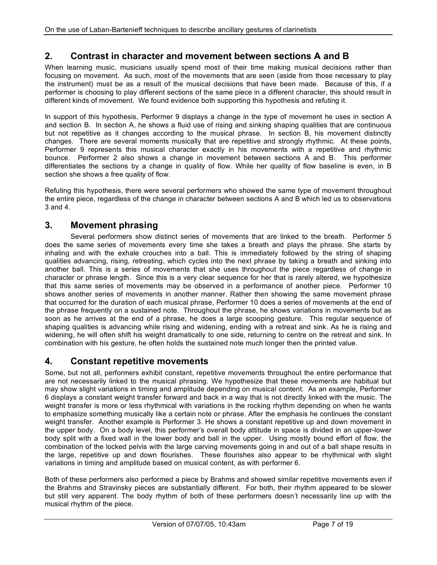### **2. Contrast in character and movement between sections A and B**

When learning music, musicians usually spend most of their time making musical decisions rather than focusing on movement. As such, most of the movements that are seen (aside from those necessary to play the instrument) must be as a result of the musical decisions that have been made. Because of this, if a performer is choosing to play different sections of the same piece in a different character, this should result in different kinds of movement. We found evidence both supporting this hypothesis and refuting it.

In support of this hypothesis, Performer 9 displays a change in the type of movement he uses in section A and section B. In section A, he shows a fluid use of rising and sinking shaping qualities that are continuous but not repetitive as it changes according to the musical phrase. In section B, his movement distinctly changes. There are several moments musically that are repetitive and strongly rhythmic. At these points, Performer 9 represents this musical character exactly in his movements with a repetitive and rhythmic bounce. Performer 2 also shows a change in movement between sections A and B. This performer differentiates the sections by a change in quality of flow. While her quality of flow baseline is even, in B section she shows a free quality of flow.

Refuting this hypothesis, there were several performers who showed the same type of movement throughout the entire piece, regardless of the change in character between sections A and B which led us to observations 3 and 4.

#### **3. Movement phrasing**

Several performers show distinct series of movements that are linked to the breath. Performer 5 does the same series of movements every time she takes a breath and plays the phrase. She starts by inhaling and with the exhale crouches into a ball. This is immediately followed by the string of shaping qualities advancing, rising, retreating, which cycles into the next phrase by taking a breath and sinking into another ball. This is a series of movements that she uses throughout the piece regardless of change in character or phrase length. Since this is a very clear sequence for her that is rarely altered, we hypothesize that this same series of movements may be observed in a performance of another piece. Performer 10 shows another series of movements in another manner. Rather then showing the same movement phrase that occurred for the duration of each musical phrase, Performer 10 does a series of movements at the end of the phrase frequently on a sustained note. Throughout the phrase, he shows variations in movements but as soon as he arrives at the end of a phrase, he does a large scooping gesture. This regular sequence of shaping qualities is advancing while rising and widening, ending with a retreat and sink. As he is rising and widening, he will often shift his weight dramatically to one side, returning to centre on the retreat and sink. In combination with his gesture, he often holds the sustained note much longer then the printed value.

#### **4. Constant repetitive movements**

Some, but not all, performers exhibit constant, repetitive movements throughout the entire performance that are not necessarily linked to the musical phrasing. We hypothesize that these movements are habitual but may show slight variations in timing and amplitude depending on musical content. As an example, Performer 6 displays a constant weight transfer forward and back in a way that is not directly linked with the music. The weight transfer is more or less rhythmical with variations in the rocking rhythm depending on when he wants to emphasize something musically like a certain note or phrase. After the emphasis he continues the constant weight transfer. Another example is Performer 3. He shows a constant repetitive up and down movement in the upper body. On a body level, this performer's overall body attitude in space is divided in an upper-lower body split with a fixed wall in the lower body and ball in the upper. Using mostly bound effort of flow, the combination of the locked pelvis with the large carving movements going in and out of a ball shape results in the large, repetitive up and down flourishes. These flourishes also appear to be rhythmical with slight variations in timing and amplitude based on musical content, as with performer 6.

Both of these performers also performed a piece by Brahms and showed similar repetitive movements even if the Brahms and Stravinsky pieces are substantially different. For both, their rhythm appeared to be slower but still very apparent. The body rhythm of both of these performers doesn't necessarily line up with the musical rhythm of the piece.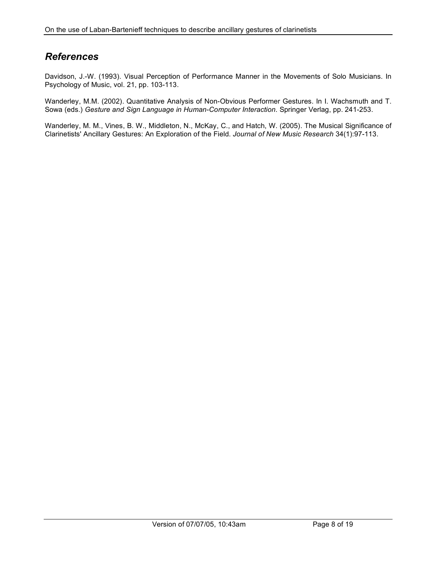# *References*

Davidson, J.-W. (1993). Visual Perception of Performance Manner in the Movements of Solo Musicians. In Psychology of Music, vol. 21, pp. 103-113.

Wanderley, M.M. (2002). Quantitative Analysis of Non-Obvious Performer Gestures. In I. Wachsmuth and T. Sowa (eds.) *Gesture and Sign Language in Human-Computer Interaction*. Springer Verlag, pp. 241-253.

Wanderley, M. M., Vines, B. W., Middleton, N., McKay, C., and Hatch, W. (2005). The Musical Significance of Clarinetists' Ancillary Gestures: An Exploration of the Field. *Journal of New Music Research* 34(1):97-113.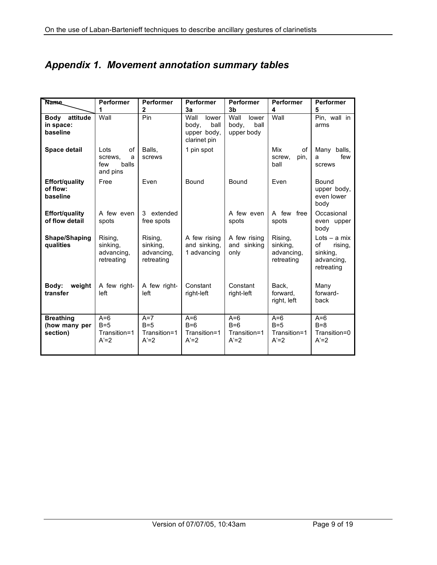# *Appendix 1. Movement annotation summary tables*

| <b>Name</b>                                      | <b>Performer</b>                                       | <b>Performer</b>                                | <b>Performer</b>                                              | <b>Performer</b>                             | <b>Performer</b>                                | <b>Performer</b>                                                        |
|--------------------------------------------------|--------------------------------------------------------|-------------------------------------------------|---------------------------------------------------------------|----------------------------------------------|-------------------------------------------------|-------------------------------------------------------------------------|
|                                                  | 1                                                      | $\mathbf 2$                                     | 3a                                                            | 3 <sub>b</sub>                               | 4                                               | 5                                                                       |
| attitude<br><b>Body</b><br>in space:<br>baseline | Wall                                                   | Pin                                             | Wall<br>lower<br>body.<br>ball<br>upper body,<br>clarinet pin | Wall<br>lower<br>body.<br>ball<br>upper body | Wall                                            | Pin, wall in<br>arms                                                    |
| <b>Space detail</b>                              | Lots<br>0f<br>screws.<br>a<br>balls<br>few<br>and pins | Balls.<br>screws                                | 1 pin spot                                                    |                                              | Mix<br>of<br>pin,<br>screw,<br>ball             | Many balls,<br>few<br>a<br>screws                                       |
| <b>Effort/quality</b><br>of flow:<br>baseline    | Free                                                   | Even                                            | Bound                                                         | Bound                                        | Even                                            | Bound<br>upper body,<br>even lower<br>body                              |
| <b>Effort/quality</b><br>of flow detail          | A few even<br>spots                                    | 3 extended<br>free spots                        |                                                               | A few even<br>spots                          | A few free<br>spots                             | Occasional<br>even upper<br>body                                        |
| Shape/Shaping<br>qualities                       | Rising,<br>sinking,<br>advancing,<br>retreating        | Rising,<br>sinking,<br>advancing,<br>retreating | A few rising<br>and sinking,<br>1 advancing                   | A few rising<br>and sinking<br>only          | Rising,<br>sinking,<br>advancing,<br>retreating | Lots $-$ a mix<br>of<br>rising,<br>sinking,<br>advancing,<br>retreating |
| weight<br>Body:<br>transfer                      | A few right-<br>left                                   | A few right-<br>left                            | Constant<br>right-left                                        | Constant<br>right-left                       | Back,<br>forward,<br>right, left                | Many<br>forward-<br>back                                                |
| <b>Breathing</b><br>(how many per<br>section)    | $A=6$<br>$B=5$<br>Transition=1<br>$A'=2$               | $A=7$<br>$B=5$<br>Transition=1<br>$A'=2$        | $A=6$<br>$B=6$<br>Transition=1<br>$A'=2$                      | $A=6$<br>$B=6$<br>Transition=1<br>$A'=2$     | $A=6$<br>$B=5$<br>Transition=1<br>$A'=2$        | $A=6$<br>$B=8$<br>Transition=0<br>$A'=2$                                |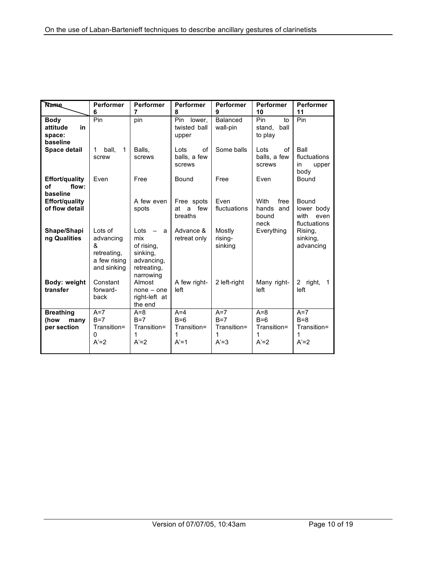| <b>Name</b>                                         | Performer                                                               | <b>Performer</b>                                                                     | <b>Performer</b>                             | <b>Performer</b>                             | Performer                                     | <b>Performer</b>                                    |
|-----------------------------------------------------|-------------------------------------------------------------------------|--------------------------------------------------------------------------------------|----------------------------------------------|----------------------------------------------|-----------------------------------------------|-----------------------------------------------------|
|                                                     | 6                                                                       | 7                                                                                    | 8                                            | 9                                            | 10                                            | 11                                                  |
| <b>Body</b><br>in<br>attitude<br>space:<br>baseline | Pin                                                                     | pin                                                                                  | Pin.<br>lower,<br>twisted ball<br>upper      | Balanced<br>wall-pin                         | Pin<br>to<br>ball<br>stand,<br>to play        | Pin                                                 |
| <b>Space detail</b>                                 | ball.<br>$\mathbf 1$<br>1<br>screw                                      | Balls.<br>screws                                                                     | Lots<br>of<br>balls, a few<br>screws         | Some balls                                   | Lots<br>of<br>balls, a few<br>screws          | Ball<br>fluctuations<br>in<br>upper<br>body         |
| <b>Effort/quality</b><br>flow:<br>οf<br>baseline    | Even                                                                    | Free                                                                                 | Bound                                        | Free                                         | Even                                          | Bound                                               |
| Effort/quality<br>of flow detail                    |                                                                         | A few even<br>spots                                                                  | Free spots<br>at<br>a<br>few<br>breaths      | Even<br>fluctuations                         | With<br>free<br>hands<br>and<br>bound<br>neck | Bound<br>lower body<br>with<br>even<br>fluctuations |
| Shape/Shapi<br>ng Qualities                         | Lots of<br>advancing<br>&<br>retreating,<br>a few rising<br>and sinking | Lots<br>a<br>mix<br>of rising,<br>sinking,<br>advancing,<br>retreating,<br>narrowing | Advance &<br>retreat only                    | Mostly<br>rising-<br>sinking                 | Everything                                    | Rising,<br>sinking,<br>advancing                    |
| Body: weight<br>transfer                            | Constant<br>forward-<br>back                                            | Almost<br>$none - one$<br>right-left at<br>the end                                   | A few right-<br>left                         | 2 left-right                                 | Many right-<br>left                           | 2 right,<br>$\mathbf{1}$<br>left                    |
| <b>Breathing</b><br>(how<br>many<br>per section     | $A=7$<br>$B=7$<br>Transition=<br>0<br>$A'=2$                            | $A=8$<br>$B=7$<br>Transition=<br>1<br>$A'=2$                                         | $A=4$<br>$B=6$<br>Transition=<br>1<br>$A'=1$ | $A=7$<br>$B=7$<br>Transition=<br>1<br>$A'=3$ | $A=8$<br>$B=6$<br>Transition=<br>1<br>$A'=2$  | $A=7$<br>$B=8$<br>Transition=<br>1<br>$A'=2$        |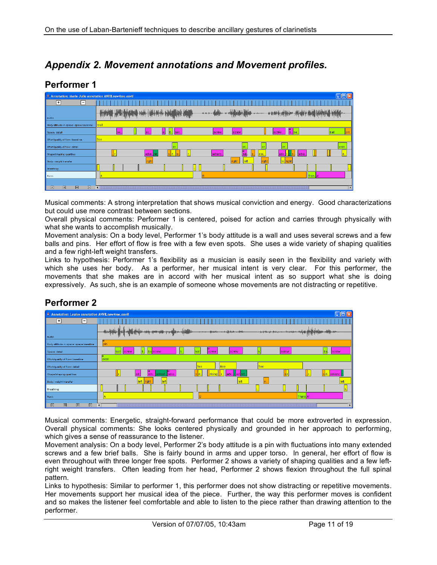# *Appendix 2. Movement annotations and Movement profiles.*

### **Performer 1**

| Annotation: Marie-Julie annotation ANVIL new4me.anvil |                  |       |                               |         |                        |                                                                         | $\ .\ $ o $\ $ $\times$  |
|-------------------------------------------------------|------------------|-------|-------------------------------|---------|------------------------|-------------------------------------------------------------------------|--------------------------|
| ஈ<br>E                                                |                  |       |                               |         |                        |                                                                         |                          |
| audio                                                 | delivered in the |       |                               |         |                        |                                                                         | <b>Withwall's Little</b> |
| Body attitude in space: space baseline                | wall             |       |                               |         |                        |                                                                         |                          |
| Space: detail                                         | lsc.             | sc.   | Scr.<br>ls.<br>$\blacksquare$ | screw   | screw                  | $\begin{array}{ c c }\n\hline\ns. & \mathbf{ba}.\n\end{array}$<br>screw | ball<br>oin              |
| Effort/quality of flow: baseline                      | free             |       |                               |         |                        |                                                                         |                          |
| Effort/quality of flow: detail                        |                  |       |                               |         | lev                    |                                                                         | even                     |
| Shape/shaping qualities                               |                  | adva. |                               | advanc. | п<br>risi.<br>lad.     | ladva.<br>lad                                                           |                          |
| Body: weight transfer                                 |                  | right |                               |         | right<br>right<br>left | le. <mark>right</mark>                                                  |                          |
| Breathing                                             |                  |       |                               |         |                        |                                                                         |                          |
| Form                                                  |                  |       |                               |         |                        |                                                                         | Tran., A'                |
|                                                       |                  |       |                               |         |                        |                                                                         |                          |
| 図<br>図<br>図<br>E                                      | $\lceil$         |       |                               |         |                        |                                                                         | Þ                        |

Musical comments: A strong interpretation that shows musical conviction and energy. Good characterizations but could use more contrast between sections.

Overall physical comments: Performer 1 is centered, poised for action and carries through physically with what she wants to accomplish musically.

Movement analysis: On a body level, Performer 1's body attitude is a wall and uses several screws and a few balls and pins. Her effort of flow is free with a few even spots. She uses a wide variety of shaping qualities and a few right-left weight transfers.

Links to hypothesis: Performer 1's flexibility as a musician is easily seen in the flexibility and variety with which she uses her body. As a performer, her musical intent is very clear. For this performer, the movements that she makes are in accord with her musical intent as so support what she is doing expressively. As such, she is an example of someone whose movements are not distracting or repetitive.

# **Performer 2**

| Annotation: Louise annotation ANVIL new4me. anvil   |                                                                                        |                            |
|-----------------------------------------------------|----------------------------------------------------------------------------------------|----------------------------|
| ஈ<br>╒                                              |                                                                                        |                            |
|                                                     | يرقاعته أجحس والدحريب حقووه وزمور جارزون<br><b>في المنابه المستحدة المنابه المنابه</b> |                            |
| audio                                               |                                                                                        |                            |
| Body attitude in space: space baseline              | pin                                                                                    |                            |
| Space: detail                                       | ball<br>bascrew<br>bal<br>screw<br>lb.<br>screw<br>screw<br>screw                      | ba <br>screw               |
| Effort/quality of flow: baseline                    | б<br>even                                                                              |                            |
| Effort/quality of flow: detail                      | free<br>free<br>free                                                                   |                            |
| Shape/shaping qualities                             | lad.<br>adv.<br>sh<br>retreat. adva.<br>  ladv<br>rladire:                             | s <mark>iri</mark> advanc. |
| Body: weight transfer                               | left right<br>lleft<br>left                                                            | left                       |
| Breathing                                           |                                                                                        |                            |
| Form                                                | Trans A'<br>lB                                                                         |                            |
| $\triangleright$<br>図<br>$\boxtimes$<br>$\boxtimes$ | $\blacksquare$                                                                         | $\mathbf{F}$               |

Musical comments: Energetic, straight-forward performance that could be more extroverted in expression. Overall physical comments: She looks centered physically and grounded in her approach to performing, which gives a sense of reassurance to the listener.

Movement analysis: On a body level, Performer 2's body attitude is a pin with fluctuations into many extended screws and a few brief balls. She is fairly bound in arms and upper torso. In general, her effort of flow is even throughout with three longer free spots. Performer 2 shows a variety of shaping qualities and a few leftright weight transfers. Often leading from her head, Performer 2 shows flexion throughout the full spinal pattern.

Links to hypothesis: Similar to performer 1, this performer does not show distracting or repetitive movements. Her movements support her musical idea of the piece. Further, the way this performer moves is confident and so makes the listener feel comfortable and able to listen to the piece rather than drawing attention to the performer.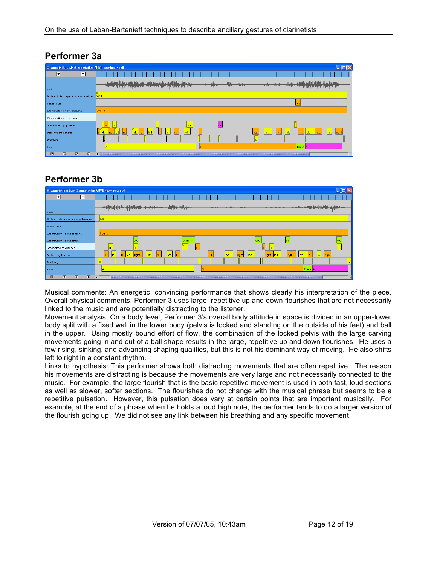| Annotation: Mark annotation ANVILnew4me.anvil | $\overline{\mathsf{x}}$                                                      |
|-----------------------------------------------|------------------------------------------------------------------------------|
| ∓<br>F                                        |                                                                              |
| audio                                         |                                                                              |
| Body attitude in space: space baseline        | wall                                                                         |
| Space: detail                                 |                                                                              |
| Effort/quality of flow: baseline              | bound                                                                        |
| Effort/quality of flow: detail                |                                                                              |
| Shape/shaping qualities                       | ris.<br>ad,                                                                  |
| Body: weight transfer                         | oo<br>left<br>left <br>$r$ left<br>left<br><b>Heft</b><br>left<br>ria.<br>еf |
| Breathing                                     |                                                                              |
| Form                                          | Trans. <sup>A'</sup>                                                         |
| 図<br>図<br>⊠<br>図                              | $\vert \cdot \vert$                                                          |

# **Performer 3a**

# **Performer 3b**



Musical comments: An energetic, convincing performance that shows clearly his interpretation of the piece. Overall physical comments: Performer 3 uses large, repetitive up and down flourishes that are not necessarily linked to the music and are potentially distracting to the listener.

Movement analysis: On a body level, Performer 3's overall body attitude in space is divided in an upper-lower body split with a fixed wall in the lower body (pelvis is locked and standing on the outside of his feet) and ball in the upper. Using mostly bound effort of flow, the combination of the locked pelvis with the large carving movements going in and out of a ball shape results in the large, repetitive up and down flourishes. He uses a few rising, sinking, and advancing shaping qualities, but this is not his dominant way of moving. He also shifts left to right in a constant rhythm.

Links to hypothesis: This performer shows both distracting movements that are often repetitive. The reason his movements are distracting is because the movements are very large and not necessarily connected to the music. For example, the large flourish that is the basic repetitive movement is used in both fast, loud sections as well as slower, softer sections. The flourishes do not change with the musical phrase but seems to be a repetitive pulsation. However, this pulsation does vary at certain points that are important musically. For example, at the end of a phrase when he holds a loud high note, the performer tends to do a larger version of the flourish going up. We did not see any link between his breathing and any specific movement.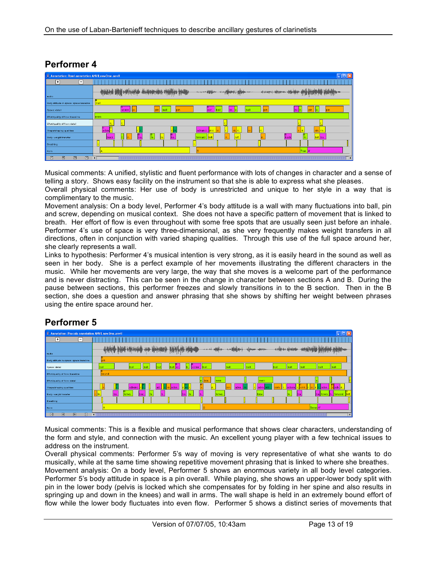| Annotation: Romi annotation ANVIL new 3me. anvil | $\mathbf{L}$ , $\mathbf{L}$                                                                                                                                                  |
|--------------------------------------------------|------------------------------------------------------------------------------------------------------------------------------------------------------------------------------|
| ஈ<br>⊟                                           |                                                                                                                                                                              |
|                                                  | المعاملة المراكز الأكادية التي يعادل المعاملة التي التي تقدم المعامل المعاملة التي يعدل المعاملة الم<br>La, fil, Hillstaden, John Lady, J. Jr. Jr.<br>more design was placed |
| audio                                            |                                                                                                                                                                              |
| Body attitude in space: space baseline           | wall                                                                                                                                                                         |
| Space: detail                                    | o<br>ь<br>lbal<br>sc.<br>ball<br>pin<br>scr.<br>1k<br>screw<br>ls d                                                                                                          |
| Effort/quality of flow: baseline                 | even                                                                                                                                                                         |
| Effort/quality of flow: detail                   |                                                                                                                                                                              |
| Shape/shaping qualities                          | o<br>adva.<br>advanci.<br>si.<br>sin. ris.<br><b>I</b> risi                                                                                                                  |
| Body: weight transfer                            | IО<br>ю<br>$back$<br>u<br>fo<br>lle.<br>back<br>ba.<br>lfo.<br>ba.<br>left<br>left ba.<br>forward                                                                            |
| <b>Breathing</b>                                 |                                                                                                                                                                              |
| Form                                             | Tran. A'<br>R                                                                                                                                                                |
| $\boxed{2}$<br>図<br>$\triangleright$<br>図        | $\blacksquare$<br>$\blacktriangleright$                                                                                                                                      |

### **Performer 4**

Musical comments: A unified, stylistic and fluent performance with lots of changes in character and a sense of telling a story. Shows easy facility on the instrument so that she is able to express what she pleases.

Overall physical comments: Her use of body is unrestricted and unique to her style in a way that is complimentary to the music.

Movement analysis: On a body level, Performer 4's body attitude is a wall with many fluctuations into ball, pin and screw, depending on musical context. She does not have a specific pattern of movement that is linked to breath. Her effort of flow is even throughout with some free spots that are usually seen just before an inhale. Performer 4's use of space is very three-dimensional, as she very frequently makes weight transfers in all directions, often in conjunction with varied shaping qualities. Through this use of the full space around her, she clearly represents a wall.

Links to hypothesis: Performer 4's musical intention is very strong, as it is easily heard in the sound as well as seen in her body. She is a perfect example of her movements illustrating the different characters in the music. While her movements are very large, the way that she moves is a welcome part of the performance and is never distracting. This can be seen in the change in character between sections A and B. During the pause between sections, this performer freezes and slowly transitions in to the B section. Then in the B section, she does a question and answer phrasing that she shows by shifting her weight between phrases using the entire space around her.

### **Performer 5**

| $\triangleq$ Annotation: Pascale annotation ANVIL new 3me. anvil | $\Box$ o $\boxtimes$                                                                                                         |      |
|------------------------------------------------------------------|------------------------------------------------------------------------------------------------------------------------------|------|
| $\overline{\phantom{a}}$<br>$\overline{ }$                       |                                                                                                                              |      |
|                                                                  | <b>Lakklander</b>                                                                                                            |      |
| audio                                                            |                                                                                                                              |      |
| Body attitude in space: space baseline                           | pin                                                                                                                          |      |
| Space: detail                                                    | ball<br>ball<br>ball<br>ball<br>bal<br>ball<br>ball<br>screw<br>bal<br><b>bal</b><br>bal<br>lsc                              |      |
| <b>Effort/quality of flow: baseline</b>                          | bound                                                                                                                        |      |
| Effort/quality of flow: detail                                   | even<br> ellbou.<br>leven                                                                                                    |      |
| Shape/shaping qualities                                          | advanc<br><b>Ir.</b> reli<br>ladva.<br>adva.<br><mark> </mark> ∣s adv.∥r<br>lad<br>sin.<br>adva.<br>advan.<br>r. Jadva.      |      |
| Body: weight transfer                                            | fo.<br>fo.<br>lba.<br>. forward<br>forwa.<br>bac<br>$b$<br>'orwab.<br>llie.<br>ba.<br>forwa.<br>lb.<br>forw<br>lba.<br>lball | left |
| Breathing                                                        |                                                                                                                              |      |
| Form                                                             | Trans A'                                                                                                                     |      |
| $\sqrt{2}$<br>$\overline{R}$<br>网<br>冈                           |                                                                                                                              | Ы    |

Musical comments: This is a flexible and musical performance that shows clear characters, understanding of the form and style, and connection with the music. An excellent young player with a few technical issues to address on the instrument.

Overall physical comments: Performer 5's way of moving is very representative of what she wants to do musically, while at the same time showing repetitive movement phrasing that is linked to where she breathes. Movement analysis: On a body level, Performer 5 shows an enormous variety in all body level categories. Performer 5's body attitude in space is a pin overall. While playing, she shows an upper-lower body split with pin in the lower body (pelvis is locked which she compensates for by folding in her spine and also results in springing up and down in the knees) and wall in arms. The wall shape is held in an extremely bound effort of flow while the lower body fluctuates into even flow. Performer 5 shows a distinct series of movements that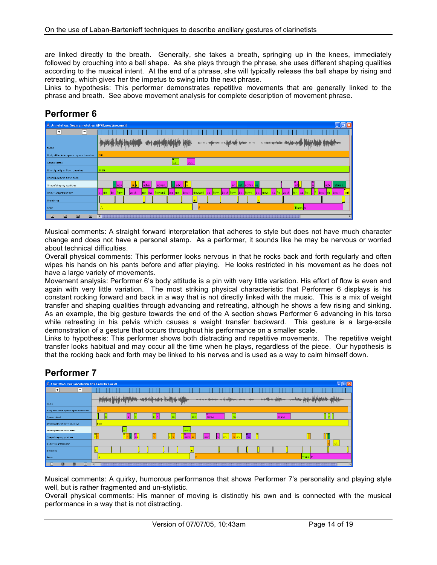are linked directly to the breath. Generally, she takes a breath, springing up in the knees, immediately followed by crouching into a ball shape. As she plays through the phrase, she uses different shaping qualities according to the musical intent. At the end of a phrase, she will typically release the ball shape by rising and retreating, which gives her the impetus to swing into the next phrase.

Links to hypothesis: This performer demonstrates repetitive movements that are generally linked to the phrase and breath. See above movement analysis for complete description of movement phrase.

## **Performer 6**

| Annotation: Sean annotation ANVILnew3me.anvil<br>$\Box$ $\Box$ $\Box$ $\times$ |                                                                                                                                                                                                                |
|--------------------------------------------------------------------------------|----------------------------------------------------------------------------------------------------------------------------------------------------------------------------------------------------------------|
| $\overline{+}$<br>$\overline{ }$                                               |                                                                                                                                                                                                                |
| audio                                                                          |                                                                                                                                                                                                                |
| Body attitude in space: space baseline                                         | oin.                                                                                                                                                                                                           |
| Space: detail                                                                  | bal<br>ser.                                                                                                                                                                                                    |
| Effort/quality of flow: baseline                                               | even                                                                                                                                                                                                           |
| Effort/quality of flow: detail                                                 |                                                                                                                                                                                                                |
| Shape/shaping qualities                                                        | IJй.<br>r. adv<br>, ret. advan re.<br> ad <br>adva.<br>advan.<br>ladv.<br>ladv<br>etreati.<br>lad.                                                                                                             |
| Body: weight transfer                                                          | for.<br>forw<br>back fo., back<br>back<br>for. ba. forward<br>. forw. back forw. ba.<br>forward<br>ba.<br>for<br>forw.<br>ba. for.<br>ba.<br>back<br>. forwa.<br>ba.<br>. Iba.<br>ba.<br>. back<br>for.<br>Ib. |
| Breathing                                                                      | in.                                                                                                                                                                                                            |
| Form                                                                           | Trans. <sup>A'</sup><br>R                                                                                                                                                                                      |
| $\boxtimes$<br>囫<br>$\boxed{5}$<br>図                                           | ł<br>$\blacktriangleright$                                                                                                                                                                                     |

Musical comments: A straight forward interpretation that adheres to style but does not have much character change and does not have a personal stamp. As a performer, it sounds like he may be nervous or worried about technical difficulties.

Overall physical comments: This performer looks nervous in that he rocks back and forth regularly and often wipes his hands on his pants before and after playing. He looks restricted in his movement as he does not have a large variety of movements.

Movement analysis: Performer 6's body attitude is a pin with very little variation. His effort of flow is even and again with very little variation. The most striking physical characteristic that Performer 6 displays is his constant rocking forward and back in a way that is not directly linked with the music. This is a mix of weight transfer and shaping qualities through advancing and retreating, although he shows a few rising and sinking. As an example, the big gesture towards the end of the A section shows Performer 6 advancing in his torso while retreating in his pelvis which causes a weight transfer backward. This gesture is a large-scale demonstration of a gesture that occurs throughout his performance on a smaller scale.

Links to hypothesis: This performer shows both distracting and repetitive movements. The repetitive weight transfer looks habitual and may occur all the time when he plays, regardless of the piece. Our hypothesis is that the rocking back and forth may be linked to his nerves and is used as a way to calm himself down*.*

# **Performer 7**

| Annotation: Paul annotation ANVILnew4me.anvil                             |                                                                                          |           | $\Box$ o $\times$ |
|---------------------------------------------------------------------------|------------------------------------------------------------------------------------------|-----------|-------------------|
| ஈ<br>F                                                                    |                                                                                          |           |                   |
|                                                                           | الأباء بالرواب حفظته<br>- 4 Hale<br>- a a distance                                       |           | افراداته          |
| sudio                                                                     |                                                                                          |           | <b>Tully</b>      |
| Body attitude in space: space baseline                                    | oin                                                                                      |           |                   |
| Space: detail                                                             | ball<br>screw                                                                            | screw     |                   |
| Effort/quality of flow: baseline                                          | free                                                                                     |           |                   |
| Effort/quality of flow: detail                                            | even                                                                                     |           |                   |
| Shape/shaping qualities                                                   | m<br>$\mathbf{a}$<br>$n_a$<br>.lris<br>adv.<br>.adva.<br>$r$ <sub>s</sub><br>his.<br>lal |           |                   |
| Body: weight transfer                                                     |                                                                                          |           | left              |
| Breathing                                                                 | lin.                                                                                     |           |                   |
| Form                                                                      |                                                                                          | Trans. A' |                   |
| $\overline{\mathbb{R}}$<br>$\triangleright$<br>$\boxed{5}$<br>$\boxtimes$ | $\blacksquare$                                                                           |           | EI                |

Musical comments: A quirky, humorous performance that shows Performer 7's personality and playing style well, but is rather fragmented and un-stylistic.

Overall physical comments: His manner of moving is distinctly his own and is connected with the musical performance in a way that is not distracting.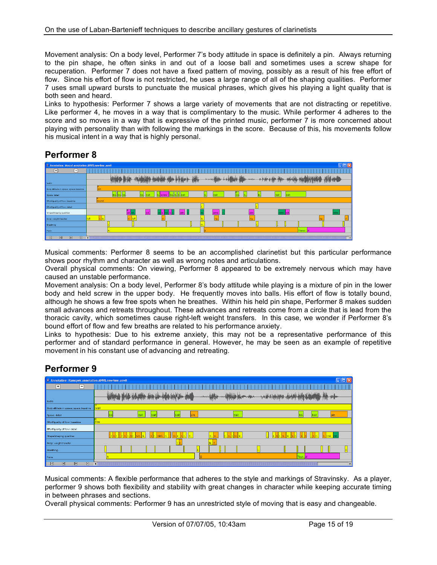Movement analysis: On a body level, Performer 7's body attitude in space is definitely a pin. Always returning to the pin shape, he often sinks in and out of a loose ball and sometimes uses a screw shape for recuperation. Performer 7 does not have a fixed pattern of moving, possibly as a result of his free effort of flow. Since his effort of flow is not restricted, he uses a large range of all of the shaping qualities. Performer 7 uses small upward bursts to punctuate the musical phrases, which gives his playing a light quality that is both seen and heard.

Links to hypothesis: Performer 7 shows a large variety of movements that are not distracting or repetitive. Like performer 4, he moves in a way that is complimentary to the music. While performer 4 adheres to the score and so moves in a way that is expressive of the printed music, performer 7 is more concerned about playing with personality than with following the markings in the score. Because of this, his movements follow his musical intent in a way that is highly personal.

# **Performer 8**

| Annotation: Mossel annotation ANVILnew4me.anvil                            |                                                                                          |   |
|----------------------------------------------------------------------------|------------------------------------------------------------------------------------------|---|
| $\Box$<br>$\Box$                                                           |                                                                                          |   |
|                                                                            | - معالى هيئ الفالة في<br><b>BAM</b>                                                      |   |
| audio                                                                      |                                                                                          |   |
| Body attitude in space: space baseline                                     | nin                                                                                      |   |
| Space: detail                                                              | screw<br><u>  b  ball</u>                                                                |   |
| Effort/quality of flow: baseline                                           | bound                                                                                    |   |
| Effort/quality of flow: detail                                             |                                                                                          |   |
| Shape/shaping qualities                                                    | $\sqrt{adv}$<br>n.<br>retre <mark>lad.</mark> .<br>ad.n<br>adva.<br>adv<br>retre<br>lad. |   |
| Body: weight transfer                                                      |                                                                                          |   |
| Breathing                                                                  |                                                                                          |   |
| Form                                                                       | Transi. A                                                                                |   |
| $\boxed{2}$<br>$\mathbb{R}$<br>$\overline{\mathbb{R}}$<br>$\triangleright$ |                                                                                          | E |

Musical comments: Performer 8 seems to be an accomplished clarinetist but this particular performance shows poor rhythm and character as well as wrong notes and articulations.

Overall physical comments: On viewing, Performer 8 appeared to be extremely nervous which may have caused an unstable performance.

Movement analysis: On a body level, Performer 8's body attitude while playing is a mixture of pin in the lower body and held screw in the upper body. He frequently moves into balls. His effort of flow is totally bound, although he shows a few free spots when he breathes. Within his held pin shape, Performer 8 makes sudden small advances and retreats throughout. These advances and retreats come from a circle that is lead from the thoracic cavity, which sometimes cause right-left weight transfers. In this case, we wonder if Performer 8's bound effort of flow and few breaths are related to his performance anxiety.

Links to hypothesis: Due to his extreme anxiety, this may not be a representative performance of this performer and of standard performance in general. However, he may be seen as an example of repetitive movement in his constant use of advancing and retreating.

### **Performer 9**

| Annotation: Ramspek annotation ANVIL new4me.anvil     | $\Box$ $\Box$ $\times$                                          |
|-------------------------------------------------------|-----------------------------------------------------------------|
| 曱<br>-1                                               |                                                                 |
|                                                       | القاماللين إعفل<br>With the theoretical contract of the state   |
| audio                                                 |                                                                 |
| Body attitude in space: space baseline                | wall                                                            |
| Space: detail                                         | ball<br>pin<br>ball<br>bal<br>ball<br>ball<br>pin<br>ba.<br>baj |
| Effort/quality of flow: baseline                      | free                                                            |
| Effort/quality of flow: detail                        |                                                                 |
| Shape/shaping qualities                               | :İstirt                                                         |
| Body: weight transfer                                 |                                                                 |
| Breathing                                             |                                                                 |
| Form                                                  | Tran. A'                                                        |
| $\boxed{\Sigma}$<br>図<br>図<br>$\overline{\mathbb{R}}$ |                                                                 |

Musical comments: A flexible performance that adheres to the style and markings of Stravinsky. As a player, performer 9 shows both flexibility and stability with great changes in character while keeping accurate timing in between phrases and sections.

Overall physical comments: Performer 9 has an unrestricted style of moving that is easy and changeable.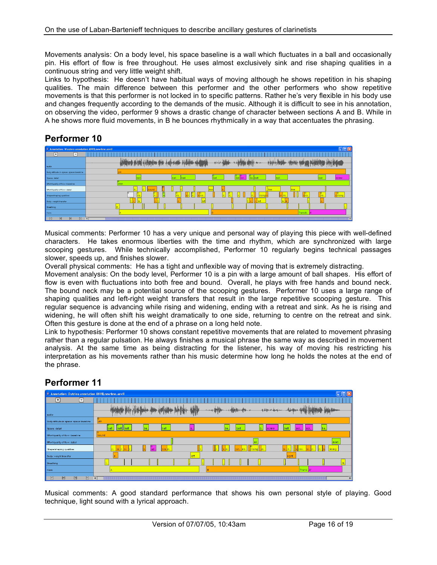Movements analysis: On a body level, his space baseline is a wall which fluctuates in a ball and occasionally pin. His effort of flow is free throughout. He uses almost exclusively sink and rise shaping qualities in a continuous string and very little weight shift.

Links to hypothesis: He doesn't have habitual ways of moving although he shows repetition in his shaping qualities. The main difference between this performer and the other performers who show repetitive movements is that this performer is not locked in to specific patterns. Rather he's very flexible in his body use and changes frequently according to the demands of the music. Although it is difficult to see in his annotation, on observing the video, performer 9 shows a drastic change of character between sections A and B. While in A he shows more fluid movements, in B he bounces rhythmically in a way that accentuates the phrasing.

## **Performer 10**

| Annotation: Wouters annotation ANVIL new4me.anvil   |                                          | $\Box$ d $\mathsf{x}$ |
|-----------------------------------------------------|------------------------------------------|-----------------------|
| $\overline{F}$<br>⊟                                 |                                          |                       |
| audio                                               | <b>Julatilat</b><br>بالتممغان<br>المأمان |                       |
| Body attitude in space: space baseline              |                                          |                       |
| Space: detail                                       | ball<br>ball scr.<br>ba. ball            | screw                 |
| <b>Effort/quality of flow: baseline</b>             | leven                                    |                       |
| Effort/quality of flow: detail                      | free<br>free.<br>bound<br>free           |                       |
| Shape/shaping qualities                             | 同                                        |                       |
| Body: weight transfer                               |                                          |                       |
| Breathing                                           |                                          |                       |
| Form                                                | Transiti N                               |                       |
| $\boxed{2}$<br>$\boxed{8}$<br>$\triangleright$<br>図 | ы<br>ummu                                | П                     |

Musical comments: Performer 10 has a very unique and personal way of playing this piece with well-defined characters. He takes enormous liberties with the time and rhythm, which are synchronized with large scooping gestures. While technically accomplished, Performer 10 regularly begins technical passages slower, speeds up, and finishes slower.

Overall physical comments: He has a tight and unflexible way of moving that is extremely distracting.

Movement analysis: On the body level, Performer 10 is a pin with a large amount of ball shapes. His effort of flow is even with fluctuations into both free and bound. Overall, he plays with free hands and bound neck. The bound neck may be a potential source of the scooping gestures. Performer 10 uses a large range of shaping qualities and left-right weight transfers that result in the large repetitive scooping gesture. This regular sequence is advancing while rising and widening, ending with a retreat and sink. As he is rising and widening, he will often shift his weight dramatically to one side, returning to centre on the retreat and sink. Often this gesture is done at the end of a phrase on a long held note.

Link to hypothesis: Performer 10 shows constant repetitive movements that are related to movement phrasing rather than a regular pulsation. He always finishes a musical phrase the same way as described in movement analysis. At the same time as being distracting for the listener, his way of moving his restricting his interpretation as his movements rather than his music determine how long he holds the notes at the end of the phrase.

# **Performer 11**

| Annotation: Dutrieu annotation ANVILnew4me.anvil           | <u>L 110</u>                                                                                        |
|------------------------------------------------------------|-----------------------------------------------------------------------------------------------------|
| ∓<br>$\vert$ – $\vert$                                     |                                                                                                     |
|                                                            | $+ + + +$                                                                                           |
| audio                                                      |                                                                                                     |
| Body attitude in space: space baseline                     | ıo<br>pin                                                                                           |
| Space: detail                                              | ball<br>ball<br>b.<br>ball ball<br>ba.<br>ball<br>ball<br>ba<br>scr.<br>scr.<br>ba.<br>screw<br>Is. |
| Effort/quality of flow: baseline                           | $\Box$<br>bound                                                                                     |
| Effort/quality of flow: detail                             | leven                                                                                               |
| Shape/shaping qualities                                    | $\frac{a}{ad}$ .<br>Jr.<br>$sin.$ $ri.$<br><b>I</b> risinal<br><b>rising</b>                        |
| Body: weight transfer                                      | left<br>right                                                                                       |
| Breathing                                                  | in.                                                                                                 |
| Form                                                       | Trans. A                                                                                            |
| $\boxed{2}$<br>図<br>$\boxtimes$<br>$\overline{\mathbb{R}}$ | ъ.<br>$\blacktriangleright$                                                                         |

Musical comments: A good standard performance that shows his own personal style of playing. Good technique, light sound with a lyrical approach.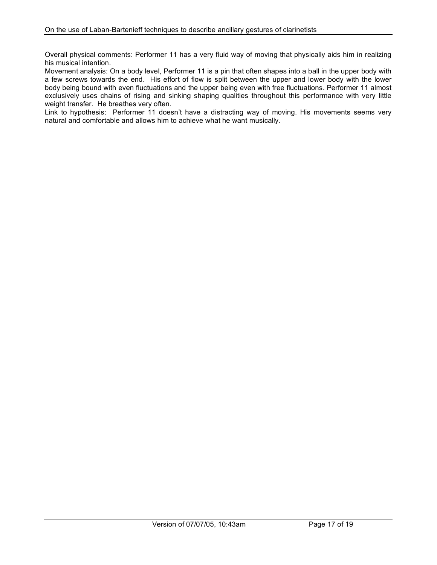Overall physical comments: Performer 11 has a very fluid way of moving that physically aids him in realizing his musical intention.

Movement analysis: On a body level, Performer 11 is a pin that often shapes into a ball in the upper body with a few screws towards the end. His effort of flow is split between the upper and lower body with the lower body being bound with even fluctuations and the upper being even with free fluctuations. Performer 11 almost exclusively uses chains of rising and sinking shaping qualities throughout this performance with very little weight transfer. He breathes very often.

Link to hypothesis: Performer 11 doesn't have a distracting way of moving. His movements seems very natural and comfortable and allows him to achieve what he want musically.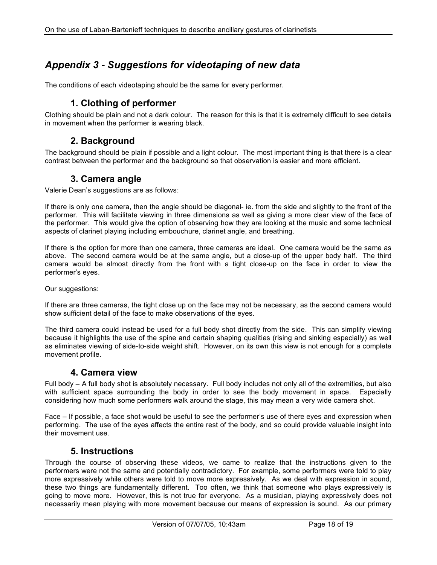# *Appendix 3 - Suggestions for videotaping of new data*

The conditions of each videotaping should be the same for every performer.

### **1. Clothing of performer**

Clothing should be plain and not a dark colour. The reason for this is that it is extremely difficult to see details in movement when the performer is wearing black.

#### **2. Background**

The background should be plain if possible and a light colour. The most important thing is that there is a clear contrast between the performer and the background so that observation is easier and more efficient.

#### **3. Camera angle**

Valerie Dean's suggestions are as follows:

If there is only one camera, then the angle should be diagonal- ie. from the side and slightly to the front of the performer. This will facilitate viewing in three dimensions as well as giving a more clear view of the face of the performer. This would give the option of observing how they are looking at the music and some technical aspects of clarinet playing including embouchure, clarinet angle, and breathing.

If there is the option for more than one camera, three cameras are ideal. One camera would be the same as above. The second camera would be at the same angle, but a close-up of the upper body half. The third camera would be almost directly from the front with a tight close-up on the face in order to view the performer's eyes.

Our suggestions:

If there are three cameras, the tight close up on the face may not be necessary, as the second camera would show sufficient detail of the face to make observations of the eyes.

The third camera could instead be used for a full body shot directly from the side. This can simplify viewing because it highlights the use of the spine and certain shaping qualities (rising and sinking especially) as well as eliminates viewing of side-to-side weight shift. However, on its own this view is not enough for a complete movement profile.

#### **4. Camera view**

Full body – A full body shot is absolutely necessary. Full body includes not only all of the extremities, but also with sufficient space surrounding the body in order to see the body movement in space. Especially considering how much some performers walk around the stage, this may mean a very wide camera shot.

Face – If possible, a face shot would be useful to see the performer's use of there eyes and expression when performing. The use of the eyes affects the entire rest of the body, and so could provide valuable insight into their movement use.

#### **5. Instructions**

Through the course of observing these videos, we came to realize that the instructions given to the performers were not the same and potentially contradictory. For example, some performers were told to play more expressively while others were told to move more expressively. As we deal with expression in sound, these two things are fundamentally different. Too often, we think that someone who plays expressively is going to move more. However, this is not true for everyone. As a musician, playing expressively does not necessarily mean playing with more movement because our means of expression is sound. As our primary